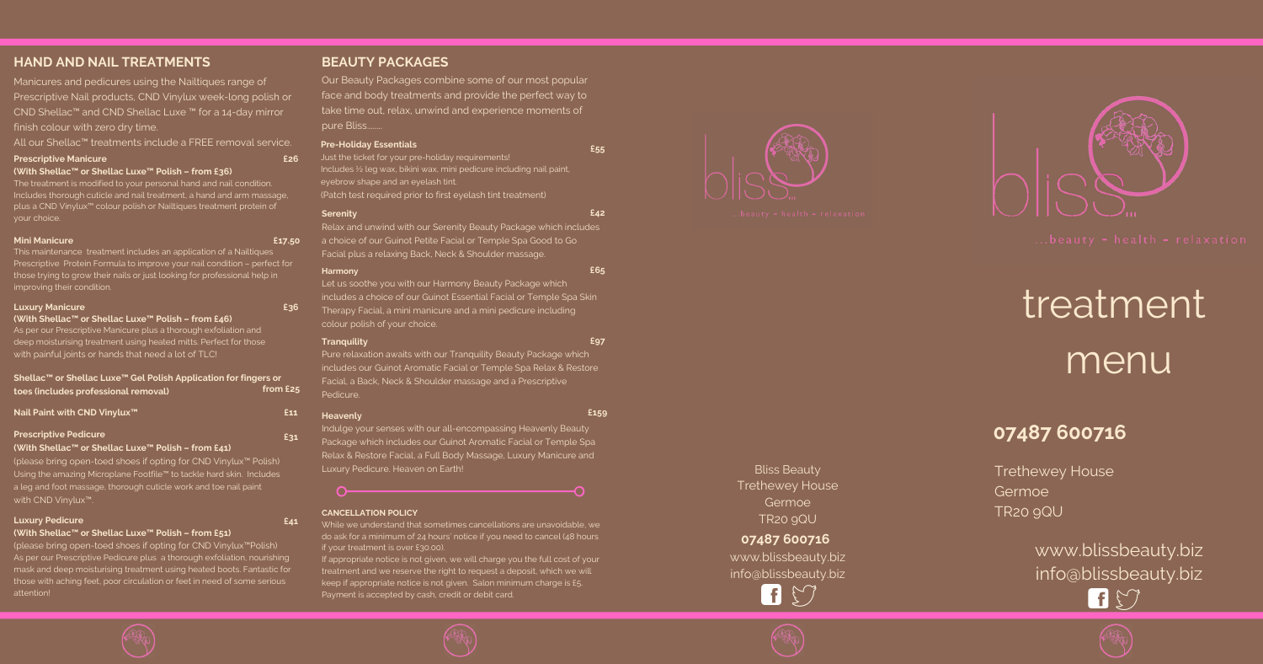### **HAND AND NAIL TREATMENTS**

Manicures and pedicures using the Nailtiques range of Prescriptive Nail products, CND Vinylux week-long polish or CND Shellac™ and CND Shellac Luxe ™ for a 14-day mirror finish colour with zero dry time.

All our Shellac™ treatments include a FREE removal service.

## **0 7 4 8 7 6 0 0 7 1 6**

Trethewey House Germoe T R 2 0 9 Q U

> www.blissbeauty.biz info@blissbeauty.biz **A** S



**(With Shellac™ or Shellac Luxe™ Polish – from £46)** As per our Prescriptive Manicure plus a thorough exfoliation and deep moisturising treatment using heated mitts. Perfect for those with painful joints or hands that need a lot of TLC!

#### **Prescriptive Manicure (With Shellac™ or Shellac Luxe™ Polish – from £36)**

The treatment is modified to your personal hand and nail condition. Includes thorough cuticle and nail treatment, a hand and arm massage, plus a CND Vinylux™ colour polish or Nailtiques treatment protein of your choice.

(please bring open-toed shoes if opting for CND Vinylux™Polish) As per our Prescriptive Pedicure plus a thorough exfoliation, nourishing mask and deep moisturising treatment using heated boots. Fantastic for those with aching feet, poor circulation or feet in need of some serious **HAND AND NAIL TREATMENTS**<br>
Manicures and pedicures using the Nailtiques range of<br>
Prescriptive Nail products, CND Vinylux week-long polish or<br>
CND Shellac<sup>w</sup> and CND Shellac Luxe <sup>no</sup> for a 14-day mirror<br>
finish colour wi

### **EAUTY PACKAGES**

Our Beat<br>face and<br>take time<br>pure Blis<br>**Pre-Holid**<br>Just the tic<br>dust the tickness<br>(Patch tes<br>**Serenity**<br>Relax and<br>Facial plu<br>Harmony<br>Let us soc<br>includes a<br>Therapy F<br>colour po<br>**Tranquilii**<br>Pure relay<br>sincludes a<br>Facial, a E<br> uty Packages combine some of our most popular face and body treatments and provide the perfect way to take time out, relax, unwind and experience moments of pure Bliss........

#### **Mini Manicure**

This maintenance treatment includes an application of a Nailtiques Prescriptive Protein Formula to improve your nail condition – perfect for those trying to grow their nails or just looking for professional help in improving their condition.

#### **Luxury Manicure**

Just the ticket for your pre-holiday requirements! Includes ½ leg wax, bikini wax, mini pedicure including nail paint, eyebrow shape and an eyelash tint. (Patch test required prior to first eyelash tint treatment)

Relax and unwind with our Serenity Beauty Package which in c l u d e s a choice of our Guinot Petite Facial or Temple Spa Good to Go Facial plus a relaxing Back, Neck & Shoulder massage.

**Nail Paint with CND Vinylux™ Prescriptive Pedicure**

#### **(With Shellac™ or Shellac Luxe™ Polish – from £41)**

(please bring open-toed shoes if opting for CND Vinylux™ Polish) Using the amazing Microplane Footfile™ to tackle hard skin. Includes a leg and foot massage, thorough cuticle work and toe nail paint with CND Vinylux™.

#### **Luxury Pedicure**

#### **(With Shellac™ or Shellac Luxe™ Polish – from £51)**

Bliss Beauty Trethewey House Germoe T R 2 0 9 Q U

www.blissbeauty.biz info@blissbeauty.biz

 $\mathsf{H}$ 









# treatment menu

#### **P r e - H o l i d a y E s s e n t i a l s**

While we understand that sometimes cancellations are unavoidable, we do ask for a minimum of 24 hours' notice if you need to cancel (48 hours if your treatment is over £30.00).

If appropriate notice is not given, we will charge you the full cost of your treatment and we reserve the right to request a deposit, which we will keep if appropriate notice is not given. Salon minimum charge is £5. Faxter is accepted by cash, credit or depth or all the keep if appropriate notice is accepted by cash, credit card. The keep if appropriate notice is not given. Salon minimum of  $z_4$  hours' notice if you need if your trea

#### **Serenity**

#### **Harmony**

Let us soothe you with our Harmony Beauty Package w hic h

#### **Shellac™ or Shellac Luxe™ Gel Polish Application for fingers or toes (includes professional removal) f r o m £ 2 5**

#### **Heavenly**

includes a choice of our Guinot Essential Facial or Temple S p a S kin Therapy Facial, a mini manicure and a mini pedicure including colour polish of your choice. **Tranquility £ 9 7**

### **0 7 4 8 7 6 0 0 7 1 6**

**£ 3 6**

**£ 1 7.5 0**

**£ 2 6**



**£ 5 5**

**£ 4 2**

**£ 6 5**

Pure relaxation awaits with our Tranquility Beauty Package which includes our Guinot Aromatic Facial or Temple Spa Relax & Resto r e Facial, a Back, Neck & Shoulder massage and a Prescriptive Pedicur

**£ 1 5 9**

Indulge your senses with our all-encompassing Heavenly Beauty Package which includes our Guinot Aromatic Facial or Temple Spa Relax & Restore Facial, a Full Body Massage, Luxury Manicure and Luxury Pedicure. Heaven on Earth!

#### **CANCELLATION POLICY**